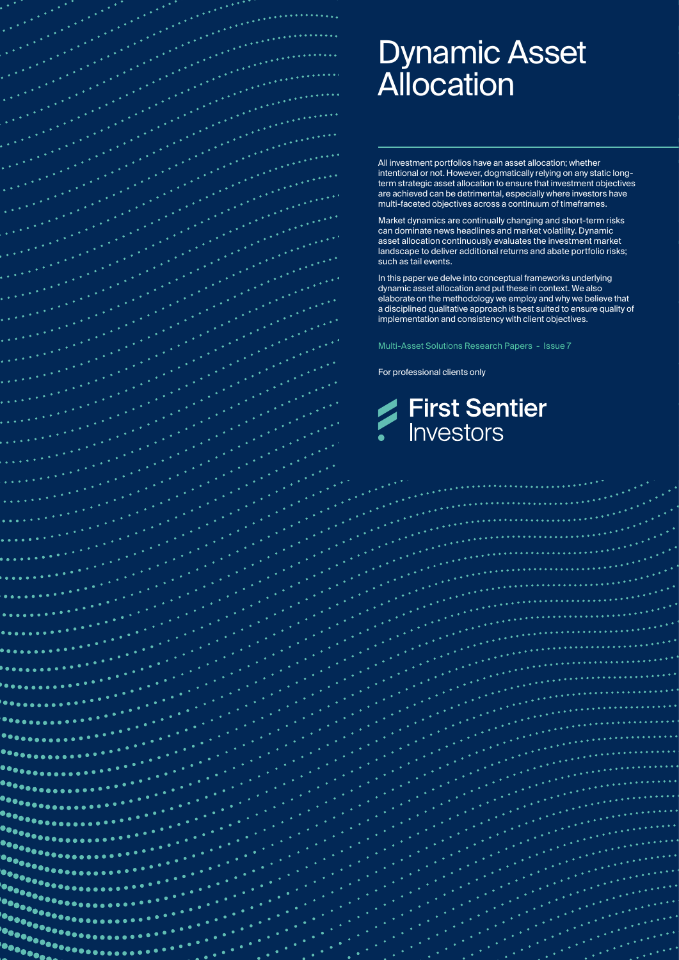

 $\ddotsc$ 

# Dynamic Asset **Allocation**

All investment portfolios have an asset allocation; whether intentional or not. However, dogmatically relying on any static longterm strategic asset allocation to ensure that investment objectives are achieved can be detrimental, especially where investors have multi-faceted objectives across a continuum of timeframes.

Market dynamics are continually changing and short-term risks can dominate news headlines and market volatility. Dynamic asset allocation continuously evaluates the investment market landscape to deliver additional returns and abate portfolio risks; such as tail events.

In this paper we delve into conceptual frameworks underlying dynamic asset allocation and put these in context. We also elaborate on the methodology we employ and why we believe that a disciplined qualitative approach is best suited to ensure quality of implementation and consistency with client objectives.

Multi-Asset Solutions Research Papers - Issue 7

For professional clients only

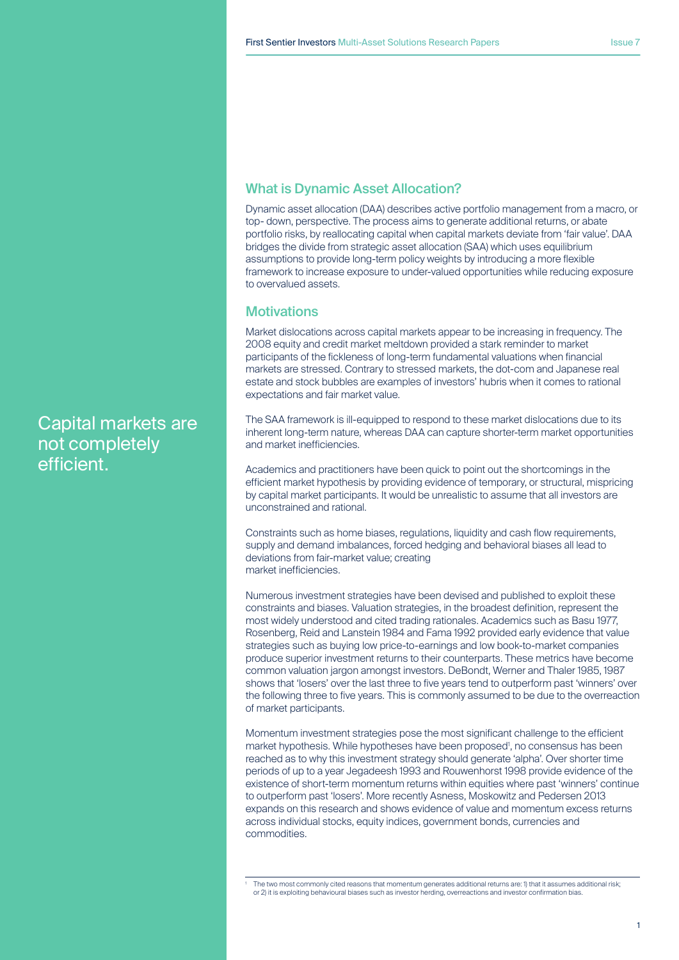# What is Dynamic Asset Allocation?

Dynamic asset allocation (DAA) describes active portfolio management from a macro, or top- down, perspective. The process aims to generate additional returns, or abate portfolio risks, by reallocating capital when capital markets deviate from 'fair value'. DAA bridges the divide from strategic asset allocation (SAA) which uses equilibrium assumptions to provide long-term policy weights by introducing a more flexible framework to increase exposure to under-valued opportunities while reducing exposure to overvalued assets.

## **Motivations**

Market dislocations across capital markets appear to be increasing in frequency. The 2008 equity and credit market meltdown provided a stark reminder to market participants of the fickleness of long-term fundamental valuations when financial markets are stressed. Contrary to stressed markets, the dot-com and Japanese real estate and stock bubbles are examples of investors' hubris when it comes to rational expectations and fair market value.

The SAA framework is ill-equipped to respond to these market dislocations due to its inherent long-term nature, whereas DAA can capture shorter-term market opportunities and market inefficiencies.

Academics and practitioners have been quick to point out the shortcomings in the efficient market hypothesis by providing evidence of temporary, or structural, mispricing by capital market participants. It would be unrealistic to assume that all investors are unconstrained and rational.

Constraints such as home biases, regulations, liquidity and cash flow requirements, supply and demand imbalances, forced hedging and behavioral biases all lead to deviations from fair-market value; creating market inefficiencies.

Numerous investment strategies have been devised and published to exploit these constraints and biases. Valuation strategies, in the broadest definition, represent the most widely understood and cited trading rationales. Academics such as Basu 1977, Rosenberg, Reid and Lanstein 1984 and Fama 1992 provided early evidence that value strategies such as buying low price-to-earnings and low book-to-market companies produce superior investment returns to their counterparts. These metrics have become common valuation jargon amongst investors. DeBondt, Werner and Thaler 1985, 1987 shows that 'losers' over the last three to five years tend to outperform past 'winners' over the following three to five years. This is commonly assumed to be due to the overreaction of market participants.

Momentum investment strategies pose the most significant challenge to the efficient market hypothesis. While hypotheses have been proposed<sup>1</sup>, no consensus has been reached as to why this investment strategy should generate 'alpha'. Over shorter time periods of up to a year Jegadeesh 1993 and Rouwenhorst 1998 provide evidence of the existence of short-term momentum returns within equities where past 'winners' continue to outperform past 'losers'. More recently Asness, Moskowitz and Pedersen 2013 expands on this research and shows evidence of value and momentum excess returns across individual stocks, equity indices, government bonds, currencies and commodities.

Capital markets are not completely efficient.

The two most commonly cited reasons that momentum generates additional returns are: 1) that it assumes additional risk; or 2) it is exploiting behavioural biases such as investor herding, overreactions and investor confirmation bias.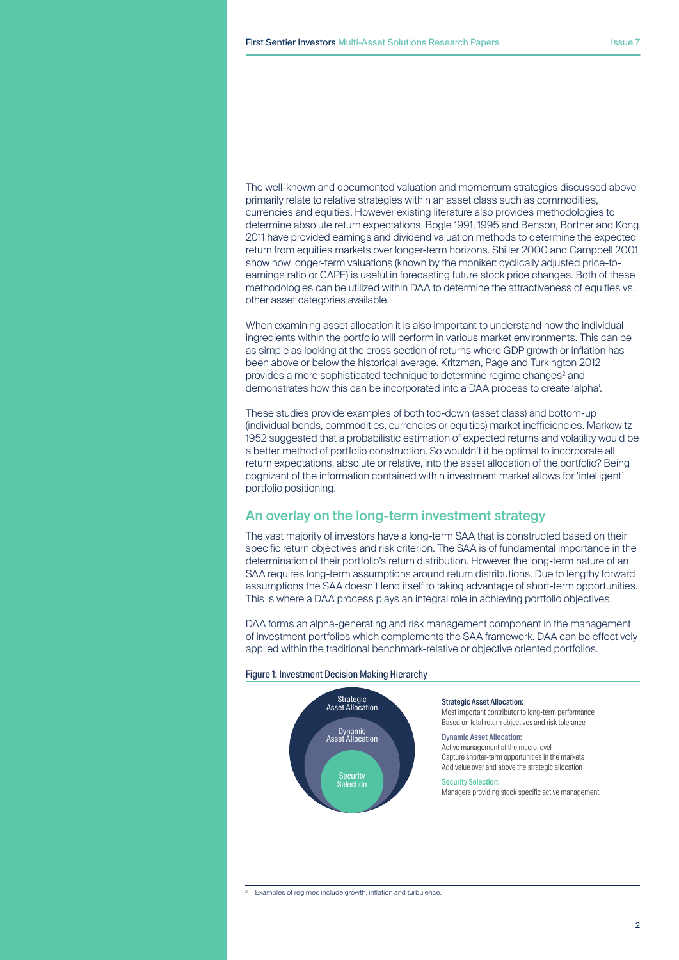The well-known and documented valuation and momentum strategies discussed above primarily relate to relative strategies within an asset class such as commodities, currencies and equities. However existing literature also provides methodologies to determine absolute return expectations. Bogle 1991, 1995 and Benson, Bortner and Kong 2011 have provided earnings and dividend valuation methods to determine the expected return from equities markets over longer-term horizons. Shiller 2000 and Campbell 2001 show how longer-term valuations (known by the moniker: cyclically adjusted price-toearnings ratio or CAPE) is useful in forecasting future stock price changes. Both of these methodologies can be utilized within DAA to determine the attractiveness of equities vs. other asset categories available.

When examining asset allocation it is also important to understand how the individual ingredients within the portfolio will perform in various market environments. This can be as simple as looking at the cross section of returns where GDP growth or inflation has been above or below the historical average. Kritzman, Page and Turkington 2012 provides a more sophisticated technique to determine regime changes<sup>2</sup> and demonstrates how this can be incorporated into a DAA process to create 'alpha'.

These studies provide examples of both top-down (asset class) and bottom-up (individual bonds, commodities, currencies or equities) market inefficiencies. Markowitz 1952 suggested that a probabilistic estimation of expected returns and volatility would be a better method of portfolio construction. So wouldn't it be optimal to incorporate all return expectations, absolute or relative, into the asset allocation of the portfolio? Being cognizant of the information contained within investment market allows for 'intelligent' portfolio positioning.

## An overlay on the long-term investment strategy

The vast majority of investors have a long-term SAA that is constructed based on their specific return objectives and risk criterion. The SAA is of fundamental importance in the determination of their portfolio's return distribution. However the long-term nature of an SAA requires long-term assumptions around return distributions. Due to lengthy forward assumptions the SAA doesn't lend itself to taking advantage of short-term opportunities. This is where a DAA process plays an integral role in achieving portfolio objectives.

DAA forms an alpha-generating and risk management component in the management of investment portfolios which complements the SAA framework. DAA can be effectively applied within the traditional benchmark-relative or objective oriented portfolios.

#### Figure 1: Investment Decision Making Hierarchy



#### Strategic Asset Allocation:

Most important contributor to long-term performance Based on total return objectives and risk tolerance

Dynamic Asset Allocation: Active management at the macro level Capture shorter-term opportunities in the markets Add value over and above the strategic allocation

#### Security Selection: Managers providing stock specific active management

Examples of regimes include growth, inflation and turbulence.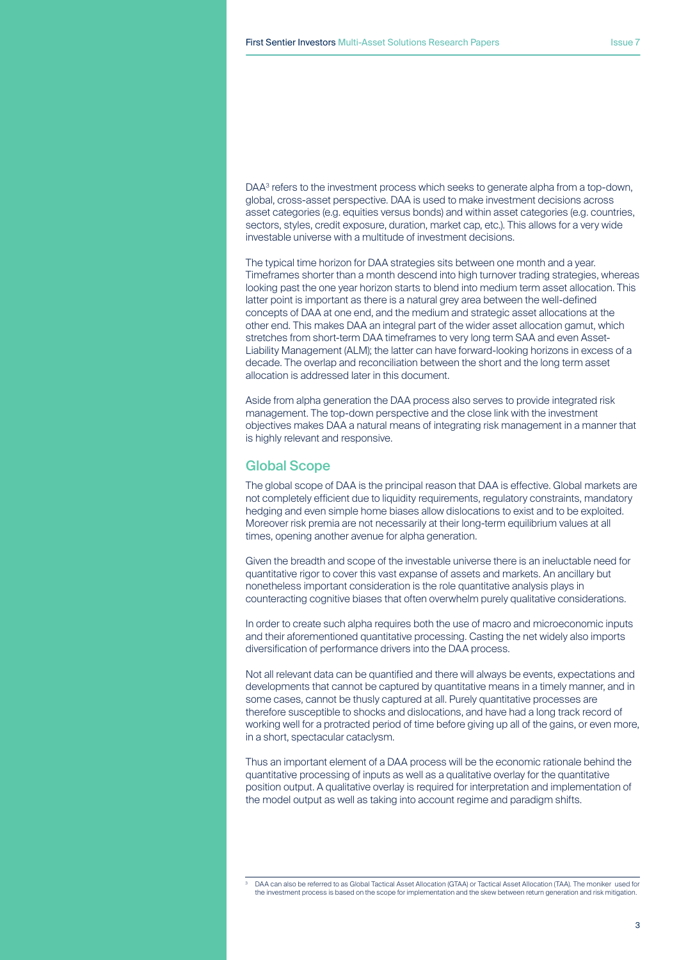DAA<sup>3</sup> refers to the investment process which seeks to generate alpha from a top-down, global, cross-asset perspective. DAA is used to make investment decisions across asset categories (e.g. equities versus bonds) and within asset categories (e.g. countries, sectors, styles, credit exposure, duration, market cap, etc.). This allows for a very wide investable universe with a multitude of investment decisions.

The typical time horizon for DAA strategies sits between one month and a year. Timeframes shorter than a month descend into high turnover trading strategies, whereas looking past the one year horizon starts to blend into medium term asset allocation. This latter point is important as there is a natural grey area between the well-defined concepts of DAA at one end, and the medium and strategic asset allocations at the other end. This makes DAA an integral part of the wider asset allocation gamut, which stretches from short-term DAA timeframes to very long term SAA and even Asset-Liability Management (ALM); the latter can have forward-looking horizons in excess of a decade. The overlap and reconciliation between the short and the long term asset allocation is addressed later in this document.

Aside from alpha generation the DAA process also serves to provide integrated risk management. The top-down perspective and the close link with the investment objectives makes DAA a natural means of integrating risk management in a manner that is highly relevant and responsive.

## Global Scope

The global scope of DAA is the principal reason that DAA is effective. Global markets are not completely efficient due to liquidity requirements, regulatory constraints, mandatory hedging and even simple home biases allow dislocations to exist and to be exploited. Moreover risk premia are not necessarily at their long-term equilibrium values at all times, opening another avenue for alpha generation.

Given the breadth and scope of the investable universe there is an ineluctable need for quantitative rigor to cover this vast expanse of assets and markets. An ancillary but nonetheless important consideration is the role quantitative analysis plays in counteracting cognitive biases that often overwhelm purely qualitative considerations.

In order to create such alpha requires both the use of macro and microeconomic inputs and their aforementioned quantitative processing. Casting the net widely also imports diversification of performance drivers into the DAA process.

Not all relevant data can be quantified and there will always be events, expectations and developments that cannot be captured by quantitative means in a timely manner, and in some cases, cannot be thusly captured at all. Purely quantitative processes are therefore susceptible to shocks and dislocations, and have had a long track record of working well for a protracted period of time before giving up all of the gains, or even more, in a short, spectacular cataclysm.

Thus an important element of a DAA process will be the economic rationale behind the quantitative processing of inputs as well as a qualitative overlay for the quantitative position output. A qualitative overlay is required for interpretation and implementation of the model output as well as taking into account regime and paradigm shifts.

<sup>3</sup> DAA can also be referred to as Global Tactical Asset Allocation (GTAA) or Tactical Asset Allocation (TAA). The moniker used for the investment process is based on the scope for implementation and the skew between return generation and risk mitigation.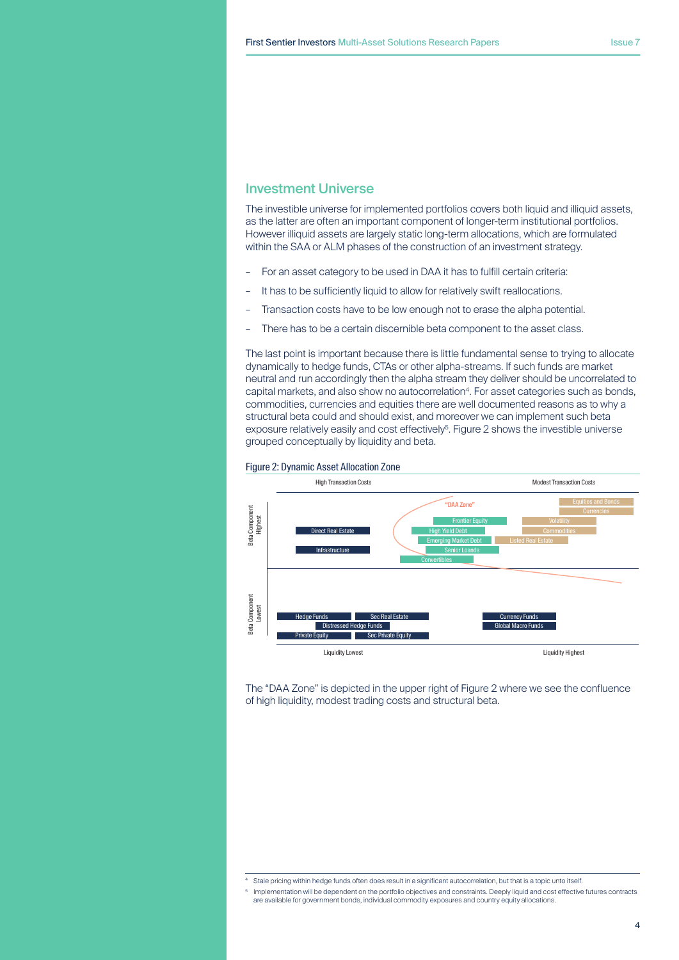# Investment Universe

The investible universe for implemented portfolios covers both liquid and illiquid assets, as the latter are often an important component of longer-term institutional portfolios. However illiquid assets are largely static long-term allocations, which are formulated within the SAA or ALM phases of the construction of an investment strategy.

- For an asset category to be used in DAA it has to fulfill certain criteria:
- It has to be sufficiently liquid to allow for relatively swift reallocations.
- Transaction costs have to be low enough not to erase the alpha potential.
- There has to be a certain discernible beta component to the asset class.

The last point is important because there is little fundamental sense to trying to allocate dynamically to hedge funds, CTAs or other alpha-streams. If such funds are market neutral and run accordingly then the alpha stream they deliver should be uncorrelated to capital markets, and also show no autocorrelation<sup>4</sup>. For asset categories such as bonds, commodities, currencies and equities there are well documented reasons as to why a structural beta could and should exist, and moreover we can implement such beta exposure relatively easily and cost effectively<sup>5</sup>. Figure 2 shows the investible universe grouped conceptually by liquidity and beta.



Figure 2: Dynamic Asset Allocation Zone

The "DAA Zone" is depicted in the upper right of Figure 2 where we see the confluence of high liquidity, modest trading costs and structural beta.

Stale pricing within hedge funds often does result in a significant autocorrelation, but that is a topic unto itself.

<sup>5</sup> Implementation will be dependent on the portfolio objectives and constraints. Deeply liquid and cost effective futures contracts are available for government bonds, individual commodity exposures and country equity allocations.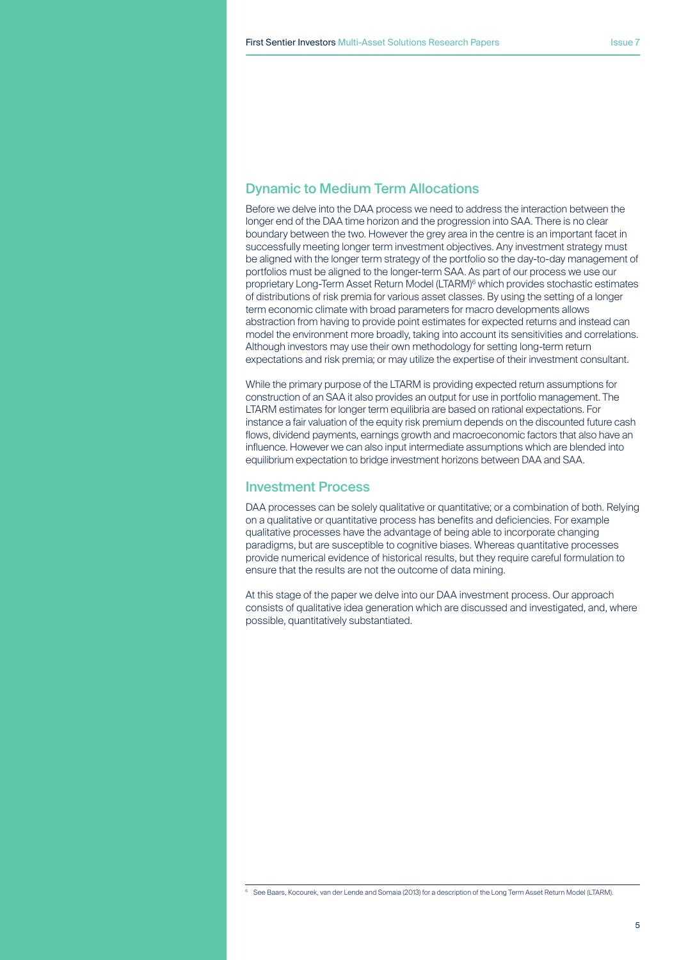# Dynamic to Medium Term Allocations

Before we delve into the DAA process we need to address the interaction between the longer end of the DAA time horizon and the progression into SAA. There is no clear boundary between the two. However the grey area in the centre is an important facet in successfully meeting longer term investment objectives. Any investment strategy must be aligned with the longer term strategy of the portfolio so the day-to-day management of portfolios must be aligned to the longer-term SAA. As part of our process we use our proprietary Long-Term Asset Return Model (LTARM)<sup>6</sup> which provides stochastic estimates of distributions of risk premia for various asset classes. By using the setting of a longer term economic climate with broad parameters for macro developments allows abstraction from having to provide point estimates for expected returns and instead can model the environment more broadly, taking into account its sensitivities and correlations. Although investors may use their own methodology for setting long-term return expectations and risk premia; or may utilize the expertise of their investment consultant.

While the primary purpose of the LTARM is providing expected return assumptions for construction of an SAA it also provides an output for use in portfolio management. The LTARM estimates for longer term equilibria are based on rational expectations. For instance a fair valuation of the equity risk premium depends on the discounted future cash flows, dividend payments, earnings growth and macroeconomic factors that also have an influence. However we can also input intermediate assumptions which are blended into equilibrium expectation to bridge investment horizons between DAA and SAA.

# Investment Process

DAA processes can be solely qualitative or quantitative; or a combination of both. Relying on a qualitative or quantitative process has benefits and deficiencies. For example qualitative processes have the advantage of being able to incorporate changing paradigms, but are susceptible to cognitive biases. Whereas quantitative processes provide numerical evidence of historical results, but they require careful formulation to ensure that the results are not the outcome of data mining.

At this stage of the paper we delve into our DAA investment process. Our approach consists of qualitative idea generation which are discussed and investigated, and, where possible, quantitatively substantiated.

<sup>&</sup>lt;sup>6</sup> See Baars, Kocourek, van der Lende and Somaia (2013) for a description of the Long Term Asset Return Model (LTARM).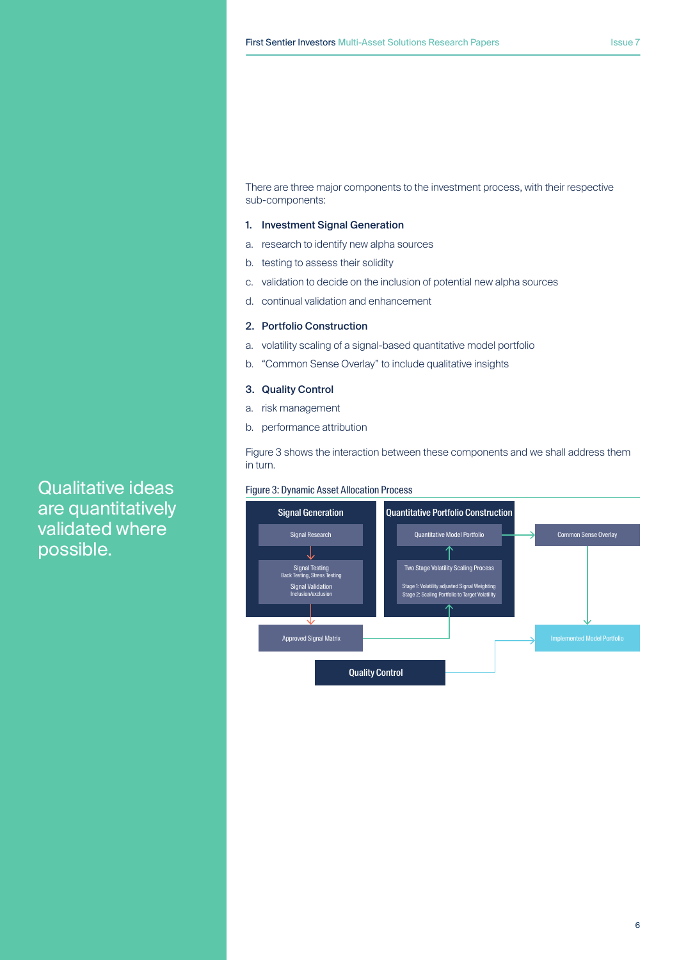There are three major components to the investment process, with their respective sub-components:

## 1. Investment Signal Generation

- a. research to identify new alpha sources
- b. testing to assess their solidity
- c. validation to decide on the inclusion of potential new alpha sources
- d. continual validation and enhancement

## 2. Portfolio Construction

- a. volatility scaling of a signal-based quantitative model portfolio
- b. "Common Sense Overlay" to include qualitative insights

### 3. Quality Control

- a. risk management
- b. performance attribution

Figure 3 shows the interaction between these components and we shall address them in turn.

#### Figure 3: Dynamic Asset Allocation Process



Qualitative ideas are quantitatively validated where possible.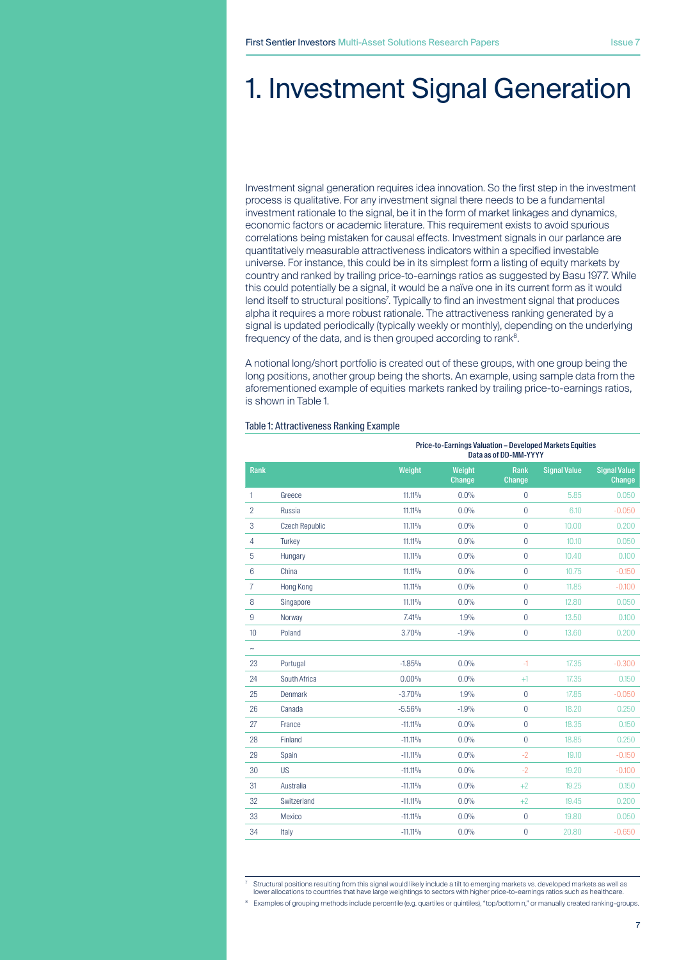# 1. Investment Signal Generation

Investment signal generation requires idea innovation. So the first step in the investment process is qualitative. For any investment signal there needs to be a fundamental investment rationale to the signal, be it in the form of market linkages and dynamics, economic factors or academic literature. This requirement exists to avoid spurious correlations being mistaken for causal effects. Investment signals in our parlance are quantitatively measurable attractiveness indicators within a specified investable universe. For instance, this could be in its simplest form a listing of equity markets by country and ranked by trailing price-to-earnings ratios as suggested by Basu 1977. While this could potentially be a signal, it would be a naïve one in its current form as it would lend itself to structural positions'. Typically to find an investment signal that produces alpha it requires a more robust rationale. The attractiveness ranking generated by a signal is updated periodically (typically weekly or monthly), depending on the underlying frequency of the data, and is then grouped according to rank<sup>8</sup>.

A notional long/short portfolio is created out of these groups, with one group being the long positions, another group being the shorts. An example, using sample data from the aforementioned example of equities markets ranked by trailing price-to-earnings ratios, is shown in Table 1.

### Table 1: Attractiveness Ranking Example

|                       |                       |            | Data as of DD-MM-YYYY   | Price-to-Earnings Valuation - Developed Markets Equities |                     |                               |
|-----------------------|-----------------------|------------|-------------------------|----------------------------------------------------------|---------------------|-------------------------------|
| Rank                  |                       | Weight     | Weight<br><b>Change</b> | <b>Rank</b><br><b>Change</b>                             | <b>Signal Value</b> | <b>Signal Value</b><br>Change |
| 1                     | Greece                | 11.11%     | 0.0%                    | $\theta$                                                 | 5.85                | 0.050                         |
| $\overline{2}$        | Russia                | 11.11%     | 0.0%                    | $\overline{0}$                                           | 6.10                | $-0.050$                      |
| 3                     | <b>Czech Republic</b> | 11.11%     | 0.0%                    | $\overline{0}$                                           | 10.00               | 0.200                         |
| $\overline{4}$        | <b>Turkey</b>         | 11.11%     | 0.0%                    | $\overline{0}$                                           | 10.10               | 0.050                         |
| 5                     | Hungary               | 11.11%     | 0.0%                    | $\overline{0}$                                           | 10.40               | 0.100                         |
| $6\phantom{1}$        | China                 | 11.11%     | 0.0%                    | $\overline{0}$                                           | 10.75               | $-0.150$                      |
| $\overline{7}$        | <b>Hong Kong</b>      | 11.11%     | 0.0%                    | $\overline{0}$                                           | 11.85               | $-0.100$                      |
| 8                     | Singapore             | 11.11%     | 0.0%                    | $\overline{0}$                                           | 12.80               | 0.050                         |
| $\overline{9}$        | Norway                | 7.41%      | 1.9%                    | $\overline{0}$                                           | 13.50               | 0.100                         |
| 10                    | Poland                | 3.70%      | $-1.9%$                 | $\overline{0}$                                           | 13.60               | 0.200                         |
| $\tilde{\phantom{a}}$ |                       |            |                         |                                                          |                     |                               |
| 23                    | Portugal              | $-1.85%$   | 0.0%                    | $-1$                                                     | 17.35               | $-0.300$                      |
| 24                    | South Africa          | 0.00%      | 0.0%                    | $+1$                                                     | 17.35               | 0.150                         |
| 25                    | Denmark               | $-3.70%$   | 1.9%                    | $\overline{0}$                                           | 17.85               | $-0.050$                      |
| 26                    | Canada                | $-5.56%$   | $-1.9%$                 | $\overline{0}$                                           | 18.20               | 0.250                         |
| 27                    | France                | $-11.11\%$ | 0.0%                    | $\overline{0}$                                           | 18.35               | 0.150                         |
| 28                    | Finland               | $-11.11\%$ | 0.0%                    | $\overline{0}$                                           | 18.85               | 0.250                         |
| 29                    | Spain                 | $-11.11\%$ | 0.0%                    | $-2$                                                     | 19.10               | $-0.150$                      |
| 30                    | <b>US</b>             | $-11.11\%$ | 0.0%                    | $-2$                                                     | 19.20               | $-0.100$                      |
| 31                    | Australia             | $-11.11\%$ | 0.0%                    | $+2$                                                     | 19.25               | 0.150                         |
| 32                    | Switzerland           | $-11.11\%$ | 0.0%                    | $+2$                                                     | 19.45               | 0.200                         |
| 33                    | Mexico                | $-11.11\%$ | 0.0%                    | $\overline{0}$                                           | 19.80               | 0.050                         |
| 34                    | Italy                 | $-11.11\%$ | 0.0%                    | $\overline{0}$                                           | 20.80               | $-0.650$                      |

<sup>7</sup> Structural positions resulting from this signal would likely include a tilt to emerging markets vs. developed markets as well as lower allocations to countries that have large weightings to sectors with higher price-to-earnings ratios such as healthcare.

<sup>&</sup>lt;sup>8</sup> Examples of grouping methods include percentile (e.g. quartiles or quintiles), "top/bottom n," or manually created ranking-groups.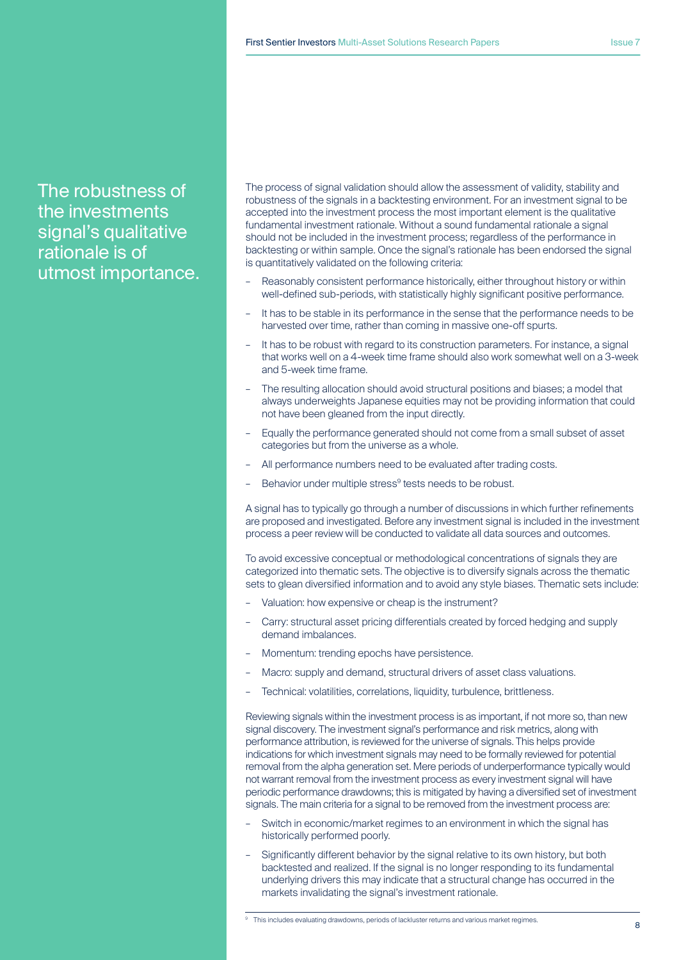The robustness of the investments signal's qualitative rationale is of utmost importance. The process of signal validation should allow the assessment of validity, stability and robustness of the signals in a backtesting environment. For an investment signal to be accepted into the investment process the most important element is the qualitative fundamental investment rationale. Without a sound fundamental rationale a signal should not be included in the investment process; regardless of the performance in backtesting or within sample. Once the signal's rationale has been endorsed the signal is quantitatively validated on the following criteria:

- Reasonably consistent performance historically, either throughout history or within well-defined sub-periods, with statistically highly significant positive performance.
- It has to be stable in its performance in the sense that the performance needs to be harvested over time, rather than coming in massive one-off spurts.
- It has to be robust with regard to its construction parameters. For instance, a signal that works well on a 4-week time frame should also work somewhat well on a 3-week and 5-week time frame.
- The resulting allocation should avoid structural positions and biases; a model that always underweights Japanese equities may not be providing information that could not have been gleaned from the input directly.
- Equally the performance generated should not come from a small subset of asset categories but from the universe as a whole.
- All performance numbers need to be evaluated after trading costs.
- Behavior under multiple stress<sup>9</sup> tests needs to be robust.

A signal has to typically go through a number of discussions in which further refinements are proposed and investigated. Before any investment signal is included in the investment process a peer review will be conducted to validate all data sources and outcomes.

To avoid excessive conceptual or methodological concentrations of signals they are categorized into thematic sets. The objective is to diversify signals across the thematic sets to glean diversified information and to avoid any style biases. Thematic sets include:

- Valuation: how expensive or cheap is the instrument?
- Carry: structural asset pricing differentials created by forced hedging and supply demand imbalances.
- Momentum: trending epochs have persistence.
- Macro: supply and demand, structural drivers of asset class valuations.
- Technical: volatilities, correlations, liquidity, turbulence, brittleness.

Reviewing signals within the investment process is as important, if not more so, than new signal discovery. The investment signal's performance and risk metrics, along with performance attribution, is reviewed for the universe of signals. This helps provide indications for which investment signals may need to be formally reviewed for potential removal from the alpha generation set. Mere periods of underperformance typically would not warrant removal from the investment process as every investment signal will have periodic performance drawdowns; this is mitigated by having a diversified set of investment signals. The main criteria for a signal to be removed from the investment process are:

- Switch in economic/market regimes to an environment in which the signal has historically performed poorly.
- Significantly different behavior by the signal relative to its own history, but both backtested and realized. If the signal is no longer responding to its fundamental underlying drivers this may indicate that a structural change has occurred in the markets invalidating the signal's investment rationale.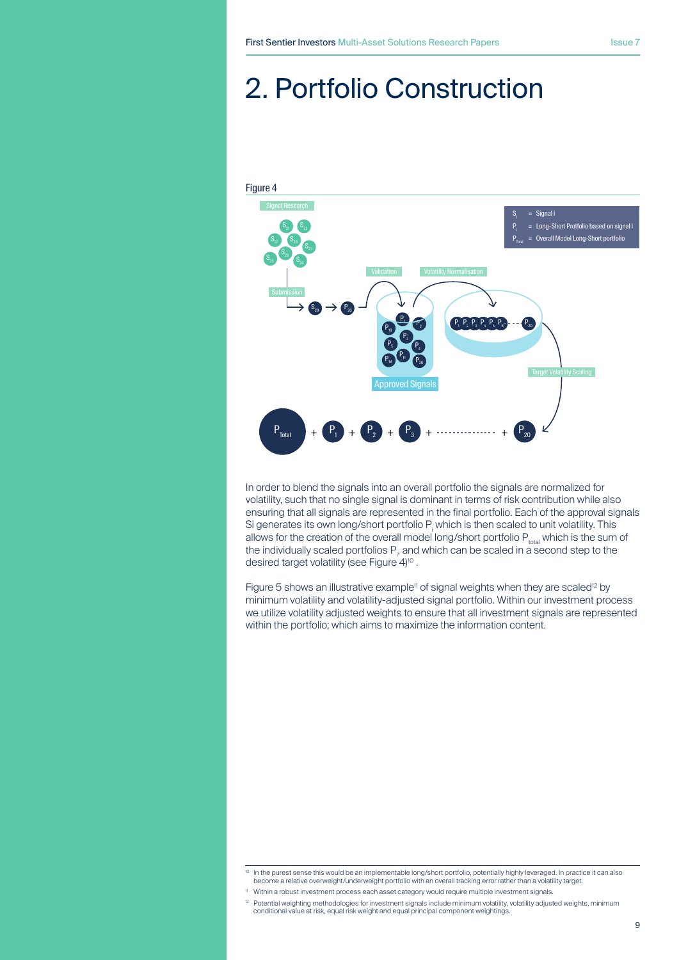# 2. Portfolio Construction



In order to blend the signals into an overall portfolio the signals are normalized for volatility, such that no single signal is dominant in terms of risk contribution while also ensuring that all signals are represented in the final portfolio. Each of the approval signals Si generates its own long/short portfolio  $P_1$  which is then scaled to unit volatility. This allows for the creation of the overall model long/short portfolio  $P_{total}$  which is the sum of the individually scaled portfolios  $P_p$  and which can be scaled in a second step to the desired target volatility (see Figure 4)<sup>10</sup>.

Figure 5 shows an illustrative example<sup>11</sup> of signal weights when they are scaled<sup>12</sup> by minimum volatility and volatility-adjusted signal portfolio. Within our investment process we utilize volatility adjusted weights to ensure that all investment signals are represented within the portfolio; which aims to maximize the information content.

<sup>&</sup>lt;sup>10</sup> In the purest sense this would be an implementable long/short portfolio, potentially highly leveraged. In practice it can also become a relative overweight/underweight portfolio with an overall tracking error rather than a volatility target.

<sup>11</sup> Within a robust investment process each asset category would require multiple investment signals.

<sup>&</sup>lt;sup>12</sup> Potential weighting methodologies for investment signals include minimum volatility, volatility adjusted weights, minimum conditional value at risk, equal risk weight and equal principal component weightings.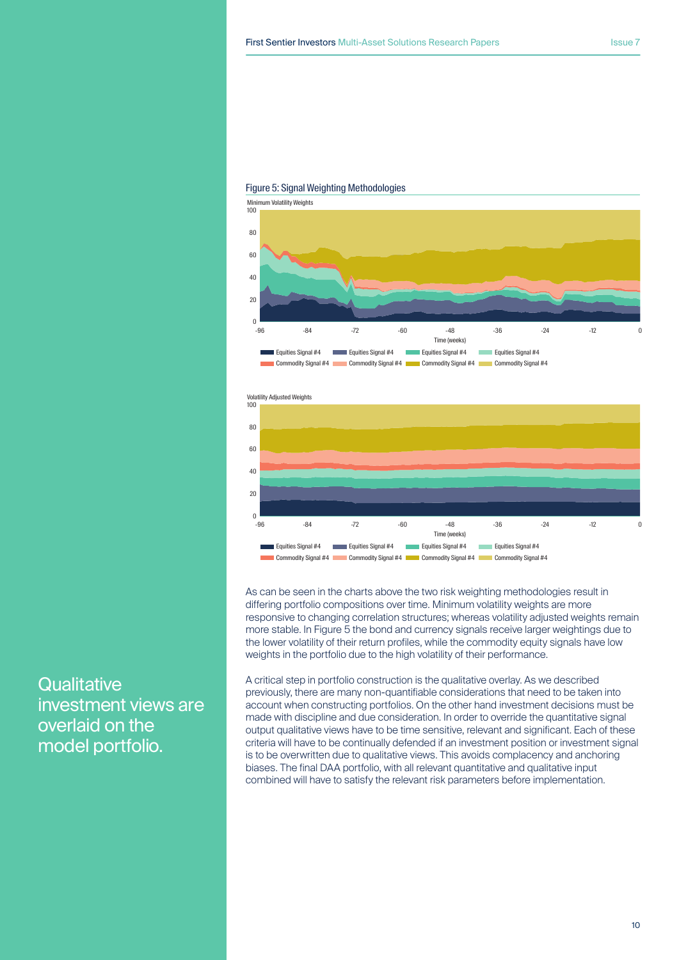

#### Figure 5: Signal Weighting Methodologies



As can be seen in the charts above the two risk weighting methodologies result in differing portfolio compositions over time. Minimum volatility weights are more responsive to changing correlation structures; whereas volatility adjusted weights remain more stable. In Figure 5 the bond and currency signals receive larger weightings due to the lower volatility of their return profiles, while the commodity equity signals have low weights in the portfolio due to the high volatility of their performance.

A critical step in portfolio construction is the qualitative overlay. As we described previously, there are many non-quantifiable considerations that need to be taken into account when constructing portfolios. On the other hand investment decisions must be made with discipline and due consideration. In order to override the quantitative signal output qualitative views have to be time sensitive, relevant and significant. Each of these criteria will have to be continually defended if an investment position or investment signal is to be overwritten due to qualitative views. This avoids complacency and anchoring biases. The final DAA portfolio, with all relevant quantitative and qualitative input combined will have to satisfy the relevant risk parameters before implementation.

**Qualitative** investment views are overlaid on the model portfolio.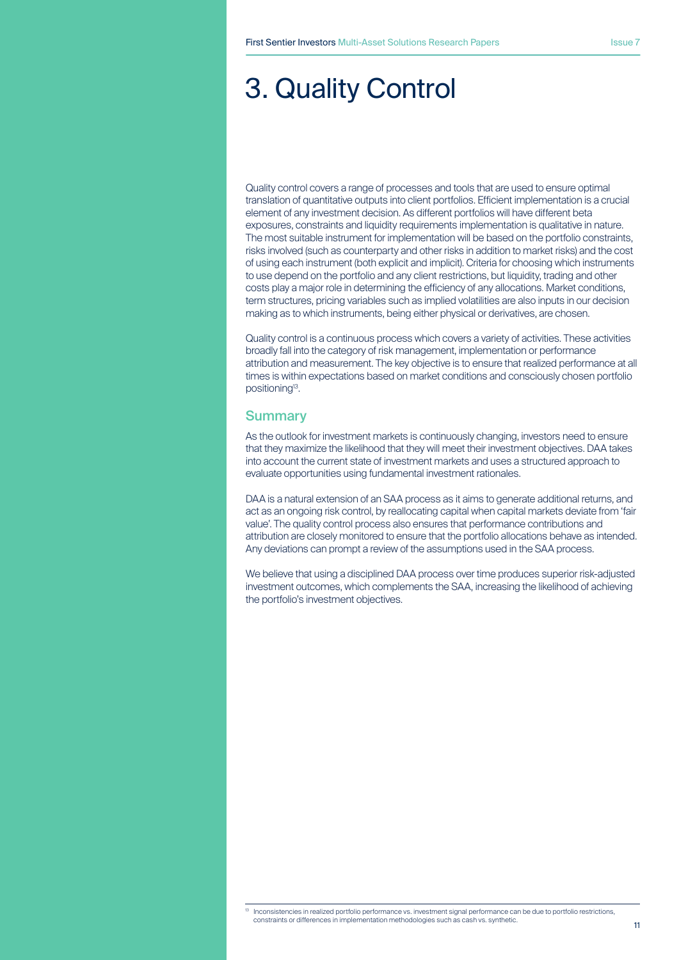# 3. Quality Control

Quality control covers a range of processes and tools that are used to ensure optimal translation of quantitative outputs into client portfolios. Efficient implementation is a crucial element of any investment decision. As different portfolios will have different beta exposures, constraints and liquidity requirements implementation is qualitative in nature. The most suitable instrument for implementation will be based on the portfolio constraints, risks involved (such as counterparty and other risks in addition to market risks) and the cost of using each instrument (both explicit and implicit). Criteria for choosing which instruments to use depend on the portfolio and any client restrictions, but liquidity, trading and other costs play a major role in determining the efficiency of any allocations. Market conditions, term structures, pricing variables such as implied volatilities are also inputs in our decision making as to which instruments, being either physical or derivatives, are chosen.

Quality control is a continuous process which covers a variety of activities. These activities broadly fall into the category of risk management, implementation or performance attribution and measurement. The key objective is to ensure that realized performance at all times is within expectations based on market conditions and consciously chosen portfolio positioning13.

## **Summary**

As the outlook for investment markets is continuously changing, investors need to ensure that they maximize the likelihood that they will meet their investment objectives. DAA takes into account the current state of investment markets and uses a structured approach to evaluate opportunities using fundamental investment rationales.

DAA is a natural extension of an SAA process as it aims to generate additional returns, and act as an ongoing risk control, by reallocating capital when capital markets deviate from 'fair value'. The quality control process also ensures that performance contributions and attribution are closely monitored to ensure that the portfolio allocations behave as intended. Any deviations can prompt a review of the assumptions used in the SAA process.

We believe that using a disciplined DAA process over time produces superior risk-adjusted investment outcomes, which complements the SAA, increasing the likelihood of achieving the portfolio's investment objectives.

<sup>13</sup> Inconsistencies in realized portfolio performance vs. investment signal performance can be due to portfolio restrictions, constraints or differences in implementation methodologies such as cash vs. synthetic.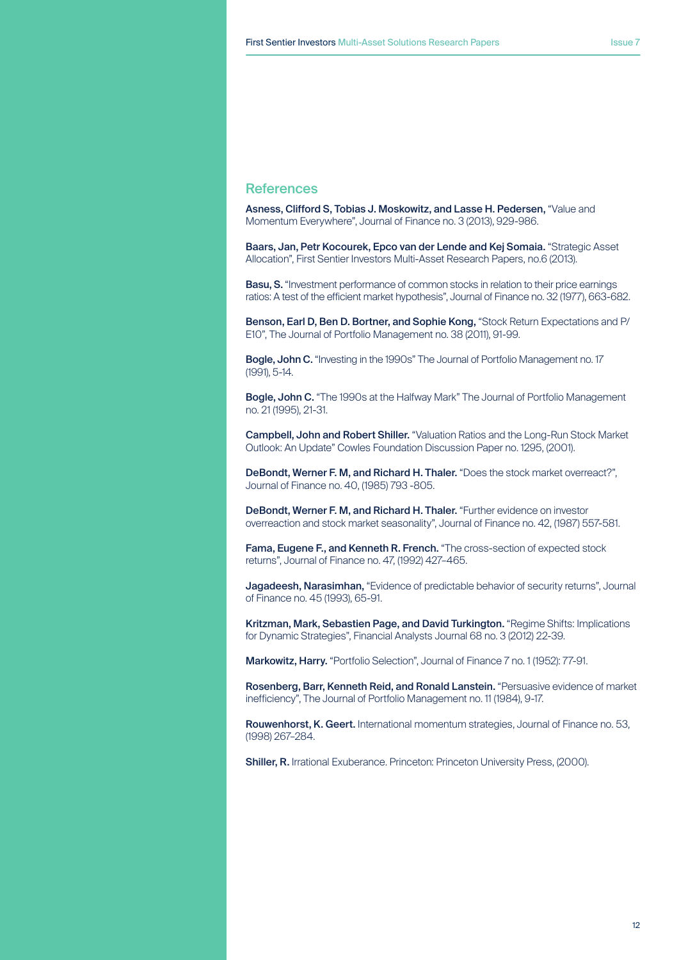## **References**

Asness, Clifford S, Tobias J. Moskowitz, and Lasse H. Pedersen, "Value and Momentum Everywhere", Journal of Finance no. 3 (2013), 929-986.

Baars, Jan, Petr Kocourek, Epco van der Lende and Kej Somaia. "Strategic Asset Allocation", First Sentier Investors Multi-Asset Research Papers, no.6 (2013).

Basu, S. "Investment performance of common stocks in relation to their price earnings ratios: A test of the efficient market hypothesis", Journal of Finance no. 32 (1977), 663-682.

Benson, Earl D, Ben D. Bortner, and Sophie Kong, "Stock Return Expectations and P/ E10", The Journal of Portfolio Management no. 38 (2011), 91-99.

Bogle, John C. "Investing in the 1990s" The Journal of Portfolio Management no. 17 (1991), 5-14.

Bogle, John C. "The 1990s at the Halfway Mark" The Journal of Portfolio Management no. 21 (1995), 21-31.

Campbell, John and Robert Shiller. "Valuation Ratios and the Long-Run Stock Market Outlook: An Update" Cowles Foundation Discussion Paper no. 1295, (2001).

DeBondt, Werner F. M, and Richard H. Thaler. "Does the stock market overreact?", Journal of Finance no. 40, (1985) 793 -805.

DeBondt, Werner F. M, and Richard H. Thaler. "Further evidence on investor overreaction and stock market seasonality", Journal of Finance no. 42, (1987) 557-581.

Fama, Eugene F., and Kenneth R. French. "The cross-section of expected stock returns", Journal of Finance no. 47, (1992) 427–465.

Jagadeesh, Narasimhan, "Evidence of predictable behavior of security returns", Journal of Finance no. 45 (1993), 65-91.

Kritzman, Mark, Sebastien Page, and David Turkington. "Regime Shifts: Implications for Dynamic Strategies", Financial Analysts Journal 68 no. 3 (2012) 22-39.

Markowitz, Harry. "Portfolio Selection", Journal of Finance 7 no. 1 (1952): 77-91.

Rosenberg, Barr, Kenneth Reid, and Ronald Lanstein. "Persuasive evidence of market inefficiency", The Journal of Portfolio Management no. 11 (1984), 9-17.

Rouwenhorst, K. Geert. International momentum strategies, Journal of Finance no. 53, (1998) 267–284.

Shiller, R. Irrational Exuberance. Princeton: Princeton University Press, (2000).